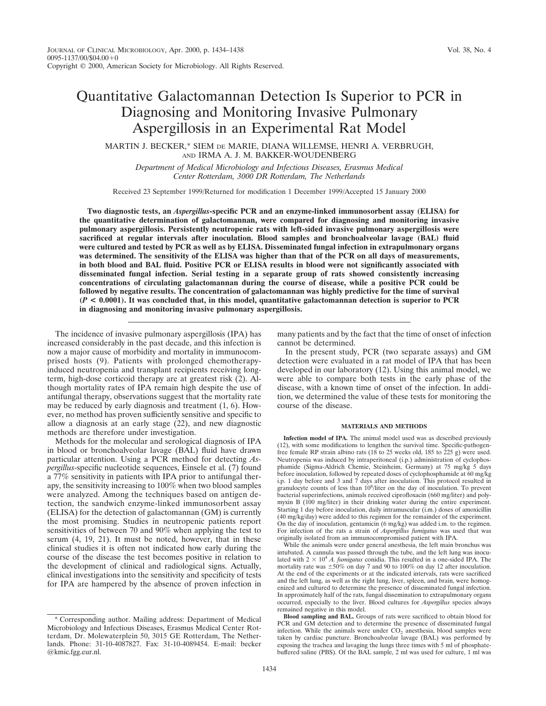MARTIN J. BECKER,\* SIEM DE MARIE, DIANA WILLEMSE, HENRI A. VERBRUGH, AND IRMA A. J. M. BAKKER-WOUDENBERG

*Department of Medical Microbiology and Infectious Diseases, Erasmus Medical Center Rotterdam, 3000 DR Rotterdam, The Netherlands*

Received 23 September 1999/Returned for modification 1 December 1999/Accepted 15 January 2000

**Two diagnostic tests, an** *Aspergillus***-specific PCR and an enzyme-linked immunosorbent assay (ELISA) for the quantitative determination of galactomannan, were compared for diagnosing and monitoring invasive pulmonary aspergillosis. Persistently neutropenic rats with left-sided invasive pulmonary aspergillosis were sacrificed at regular intervals after inoculation. Blood samples and bronchoalveolar lavage (BAL) fluid were cultured and tested by PCR as well as by ELISA. Disseminated fungal infection in extrapulmonary organs was determined. The sensitivity of the ELISA was higher than that of the PCR on all days of measurements, in both blood and BAL fluid. Positive PCR or ELISA results in blood were not significantly associated with disseminated fungal infection. Serial testing in a separate group of rats showed consistently increasing concentrations of circulating galactomannan during the course of disease, while a positive PCR could be followed by negative results. The concentration of galactomannan was highly predictive for the time of survival (***P* **< 0.0001). It was concluded that, in this model, quantitative galactomannan detection is superior to PCR in diagnosing and monitoring invasive pulmonary aspergillosis.**

The incidence of invasive pulmonary aspergillosis (IPA) has increased considerably in the past decade, and this infection is now a major cause of morbidity and mortality in immunocomprised hosts (9). Patients with prolonged chemotherapyinduced neutropenia and transplant recipients receiving longterm, high-dose corticoid therapy are at greatest risk (2). Although mortality rates of IPA remain high despite the use of antifungal therapy, observations suggest that the mortality rate may be reduced by early diagnosis and treatment (1, 6). However, no method has proven sufficiently sensitive and specific to allow a diagnosis at an early stage (22), and new diagnostic methods are therefore under investigation.

Methods for the molecular and serological diagnosis of IPA in blood or bronchoalveolar lavage (BAL) fluid have drawn particular attention. Using a PCR method for detecting *Aspergillus*-specific nucleotide sequences, Einsele et al. (7) found a 77% sensitivity in patients with IPA prior to antifungal therapy, the sensitivity increasing to 100% when two blood samples were analyzed. Among the techniques based on antigen detection, the sandwich enzyme-linked immunosorbent assay (ELISA) for the detection of galactomannan (GM) is currently the most promising. Studies in neutropenic patients report sensitivities of between 70 and 90% when applying the test to serum (4, 19, 21). It must be noted, however, that in these clinical studies it is often not indicated how early during the course of the disease the test becomes positive in relation to the development of clinical and radiological signs. Actually, clinical investigations into the sensitivity and specificity of tests for IPA are hampered by the absence of proven infection in

many patients and by the fact that the time of onset of infection cannot be determined.

In the present study, PCR (two separate assays) and GM detection were evaluated in a rat model of IPA that has been developed in our laboratory (12). Using this animal model, we were able to compare both tests in the early phase of the disease, with a known time of onset of the infection. In addition, we determined the value of these tests for monitoring the course of the disease.

#### **MATERIALS AND METHODS**

**Infection model of IPA.** The animal model used was as described previously (12), with some modifications to lengthen the survival time. Specific-pathogenfree female RP strain albino rats (18 to 25 weeks old, 185 to 225 g) were used. Neutropenia was induced by intraperitoneal (i.p.) administration of cyclophosphamide (Sigma-Aldrich Chemie, Steinheim, Germany) at 75 mg/kg 5 days before inoculation, followed by repeated doses of cyclophosphamide at 60 mg/kg i.p. 1 day before and 3 and 7 days after inoculation. This protocol resulted in granulocyte counts of less than 10<sup>8</sup>/liter on the day of inoculation. To prevent bacterial superinfections, animals received ciprofloxacin (660 mg/liter) and polymyxin B (100 mg/liter) in their drinking water during the entire experiment. Starting 1 day before inoculation, daily intramuscular (i.m.) doses of amoxicillin (40 mg/kg/day) were added to this regimen for the remainder of the experiment. On the day of inoculation, gentamicin (6 mg/kg) was added i.m. to the regimen. For infection of the rats a strain of *Aspergillus fumigatus* was used that was originally isolated from an immunocompromised patient with IPA.

While the animals were under general anesthesia, the left main bronchus was intubated. A cannula was passed through the tube, and the left lung was inoculated with  $2 \times 10^4$  *A. fumigatus* conidia. This resulted in a one-sided IPA. The mortality rate was  $\pm 50\%$  on day 7 and 90 to 100% on day 12 after inoculation. At the end of the experiments or at the indicated intervals, rats were sacrificed and the left lung, as well as the right lung, liver, spleen, and brain, were homogenized and cultured to determine the presence of disseminated fungal infection. In approximately half of the rats, fungal dissemination to extrapulmonary organs occurred, especially to the liver. Blood cultures for *Aspergillus* species always remained negative in this model.

<sup>\*</sup> Corresponding author. Mailing address: Department of Medical Microbiology and Infectious Diseases, Erasmus Medical Center Rotterdam, Dr. Molewaterplein 50, 3015 GE Rotterdam, The Netherlands. Phone: 31-10-4087827. Fax: 31-10-4089454. E-mail: becker @kmic.fgg.eur.nl.

**Blood sampling and BAL.** Groups of rats were sacrificed to obtain blood for PCR and GM detection and to determine the presence of disseminated fungal infection. While the animals were under  $CO<sub>2</sub>$  anesthesia, blood samples were taken by cardiac puncture. Bronchoalveolar lavage (BAL) was performed by exposing the trachea and lavaging the lungs three times with 5 ml of phosphatebuffered saline (PBS). Of the BAL sample, 2 ml was used for culture, 1 ml was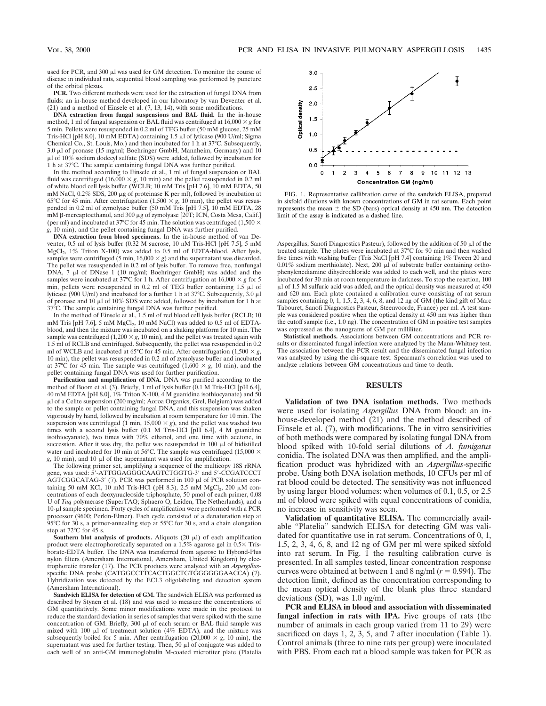used for PCR, and 300  $\mu$ l was used for GM detection. To monitor the course of disease in individual rats, sequential blood sampling was performed by puncture of the orbital plexus.

**PCR.** Two different methods were used for the extraction of fungal DNA from fluids: an in-house method developed in our laboratory by van Deventer et al.  $(21)$  and a method of Einsele et al.  $(7, 13, 14)$ , with some modifications.

**DNA extraction from fungal suspensions and BAL fluid.** In the in-house method, 1 ml of fungal suspension or BAL fluid was centrifuged at  $16,000 \times g$  for 5 min. Pellets were resuspended in 0.2 ml of TEG buffer (50 mM glucose, 25 mM Tris-HCl [pH 8.0], 10 mM EDTA) containing 1.5  $\mu$ l of lyticase (900 U/ml; Sigma Chemical Co., St. Louis, Mo.) and then incubated for 1 h at 37°C. Subsequently, 3.0 µl of pronase (15 mg/ml; Boehringer GmbH, Mannheim, Germany) and 10 plus presume (collegent) successive context, community, containing for  $\mu$  of 10% sodium dodecyl sulfate (SDS) were added, followed by incubation for 1 h at 37°C. The sample containing fungal DNA was further purified.

In the method according to Einsele et al., 1 ml of fungal suspension or BAL fluid was centrifuged  $(16,000 \times g, 10 \text{ min})$  and the pellet resuspended in 0.2 ml of white blood cell lysis buffer (WCLB; 10 mM Tris [pH 7.6], 10 mM EDTA, 50 mM NaCl,  $0.2\%$  SDS,  $200 \mu$ g of proteinase K per ml), followed by incubation at 65°C for 45 min. After centrifugation  $(1,500 \times g, 10 \text{ min})$ , the pellet was resuspended in 0.2 ml of zymolyase buffer (50 mM Tris [pH 7.5], 10 mM EDTA, 28 mM  $\beta$ -mercaptoethanol, and 300 µg of zymolyase [20T; ICN, Costa Mesa, Calif.] (per ml) and incubated at 37°C for 45 min. The solution was centrifuged (1,500  $\times$ *g*, 10 min), and the pellet containing fungal DNA was further purified.

**DNA extraction from blood specimens.** In the in-house method of van Deventer, 0.5 ml of lysis buffer (0.32 M sucrose, 10 nM Tris-HCl [pH 7.5], 5 mM MgCl<sub>2</sub>,  $1\%$  Triton X-100) was added to 0.5 ml of EDTA-blood. After lysis, samples were centrifuged (5 min,  $16,000 \times g$ ) and the supernatant was discarded. The pellet was resuspended in 0.2 ml of lysis buffer. To remove free, nonfungal DNA, 7  $\mu$ l of DNase 1 (10 mg/ml; Boehringer GmbH) was added and the samples were incubated at 37°C for 1 h. After centrifugation at  $16,000 \times g$  for 5 min, pellets were resuspended in 0.2 ml of TEG buffer containing  $1.5 \mu$ l of lyticase (900 U/ml) and incubated for a further 1 h at 37°C. Subsequently, 3.0 ml of pronase and 10  $\mu$ l of 10% SDS were added, followed by incubation for 1 h at 37°C. The sample containing fungal DNA was further purified.

In the method of Einsele et al., 1.5 ml of red blood cell lysis buffer (RCLB; 10 mM Tris [pH 7.6], 5 mM MgCl<sub>2</sub>, 10 mM NaCl) was added to 0.5 ml of EDTAblood, and then the mixture was incubated on a shaking platform for 10 min. The sample was centrifuged  $(1,200 \times g, 10 \text{ min})$ , and the pellet was treated again with 1.5 ml of RCLB and centrifuged. Subsequently, the pellet was resuspended in 0.2 ml of WCLB and incubated at 65°C for 45 min. After centrifugation (1,500  $\times g$ , 10 min), the pellet was resuspended in 0.2 ml of zymolyase buffer and incubated at 37°C for 45 min. The sample was centrifuged  $(1,600 \times g, 10 \text{ min})$ , and the pellet containing fungal DNA was used for further purification.

**Purification and amplification of DNA.** DNA was purified according to the method of Boom et al. (3). Briefly, 1 ml of lysis buffer (0.1 M Tris-HCl [pH 6.4], 40 mM EDTA [pH 8.0], 1% Triton X-100, 4 M guanidine isothiocyanate) and 50 ml of a Celite suspension (200 mg/ml; Aoroa Organics, Grel, Belgium) was added to the sample or pellet containing fungal DNA, and this suspension was shaken vigorously by hand, followed by incubation at room temperature for 10 min. The suspension was centrifuged (1 min,  $15,000 \times g$ ), and the pellet was washed two times with a second lysis buffer (0.1 M Tris-HCl [pH 6.4], 4 M guanidine isothiocyanate), two times with 70% ethanol, and one time with acetone, in succession. After it was dry, the pellet was resuspended in  $100 \mu l$  of bidistilled water and incubated for 10 min at 56°C. The sample was centrifuged (15,000  $\times$  $g$ , 10 min), and 10  $\mu$ l of the supernatant was used for amplification.

The following primer set, amplifying a sequence of the multicopy 18S rRNA gene, was used: 5'-ATTGGAGGGCAAGTCTGGTG-3' and 5'-CCGATCCCT AGTCGGCATAG-3' (7). PCR was performed in 100  $\mu$ l of PCR solution containing 50 mM KCl, 10 mM Tris-HCl (pH 8.3), 2.5 mM  $MgCl<sub>2</sub>$ , 200  $\mu$ M concentrations of each deoxynucleoside triphosphate, 50 pmol of each primer, 0.08 U of *Taq* polymerase (SuperTAQ; Sphaero Q, Leiden, The Netherlands), and a 10-ml sample specimen. Forty cycles of amplification were performed with a PCR processor (9600; Perkin-Elmer). Each cycle consisted of a denaturation step at 95°C for 30 s, a primer-annealing step at 55°C for 30 s, and a chain elongation step at 72°C for 45 s.

**Southern blot analysis of products.** Aliquots  $(20 \mu l)$  of each amplification product were electrophoretically separated on a  $1.5\%$  agarose gel in  $0.5\times$  Trisborate-EDTA buffer. The DNA was transferred from agarose to Hybond-Plus nylon filters (Amersham International, Amersham, United Kingdom) by electrophoretic transfer (17). The PCR products were analyzed with an *Aspergillus*specific DNA probe (CATGGCCTTCACTGGCTGTGGGGGGAACCA) (7). Hybridization was detected by the ECL3 oligolabeling and detection system (Amersham International).

**Sandwich ELISA for detection of GM.** The sandwich ELISA was performed as described by Stynen et al. (18) and was used to measure the concentrations of GM quantitatively. Some minor modifications were made in the protocol to reduce the standard deviation in series of samples that were spiked with the same concentration of GM. Briefly,  $300 \mu l$  of each serum or BAL fluid sample was mixed with 100  $\mu$ l of treatment solution (4% EDTA), and the mixture was subsequently boiled for 5 min. After centrifugation  $(20,000 \times g, 10 \text{ min})$ , the supernatant was used for further testing. Then, 50  $\mu$ l of conjugate was added to each well of an anti-GM immunoglobulin M-coated microtiter plate (Platelia



FIG. 1. Representative callibration curve of the sandwich ELISA, prepared in sixfold dilutions with known concentrations of GM in rat serum. Each point represents the mean  $\pm$  the SD (bars) optical density at 450 nm. The detection limit of the assay is indicated as a dashed line.

Aspergillus; Sanofi Diagnostics Pasteur), followed by the addition of 50  $\mu$ l of the treated sample. The plates were incubated at 37°C for 90 min and then washed five times with washing buffer (Tris NaCl [pH 7.4] containing 1% Tween 20 and 0.01% sodium merthiolate). Next, 200  $\mu\Gamma$  of substrate buffer containing orthophenylenediamine dihydrochloride was added to each well, and the plates were incubated for 30 min at room temperature in darkness. To stop the reaction, 100  $\mu$ l of 1.5 M sulfuric acid was added, and the optical density was measured at 450 and 620 nm. Each plate contained a calibration curve consisting of rat serum samples containing 0, 1, 1.5, 2, 3, 4, 6, 8, and 12 ng of GM (the kind gift of Marc Tabouret, Sanofi Diagnostics Pasteur, Steenvoorde, France) per ml. A test sample was considered positive when the optical density at 450 nm was higher than the cutoff sample (i.e., 1.0 ng). The concentration of GM in positive test samples was expressed as the nanograms of GM per milliliter.

**Statistical methods.** Associations between GM concentrations and PCR results or disseminated fungal infection were analyzed by the Mann-Whitney test. The association between the PCR result and the disseminated fungal infection was analyzed by using the chi-square test. Spearman's correlation was used to analyze relations between GM concentrations and time to death.

# **RESULTS**

**Validation of two DNA isolation methods.** Two methods were used for isolating *Aspergillus* DNA from blood: an inhouse-developed method (21) and the method described of Einsele et al. (7), with modifications. The in vitro sensitivities of both methods were compared by isolating fungal DNA from blood spiked with 10-fold serial dilutions of *A. fumigatus* conidia. The isolated DNA was then amplified, and the amplification product was hybridized with an *Aspergillus*-specific probe. Using both DNA isolation methods, 10 CFUs per ml of rat blood could be detected. The sensitivity was not influenced by using larger blood volumes: when volumes of 0.1, 0.5, or 2.5 ml of blood were spiked with equal concentrations of conidia, no increase in sensitivity was seen.

**Validation of quantitative ELISA.** The commercially available "Platelia" sandwich ELISA for detecting GM was validated for quantitative use in rat serum. Concentrations of 0, 1, 1.5, 2, 3, 4, 6, 8, and 12 ng of GM per ml were spiked sixfold into rat serum. In Fig. 1 the resulting calibration curve is presented. In all samples tested, linear concentration response curves were obtained at between 1 and 8 ng/ml ( $r = 0.994$ ). The detection limit, defined as the concentration corresponding to the mean optical density of the blank plus three standard deviations (SD), was 1.0 ng/ml.

**PCR and ELISA in blood and association with disseminated fungal infection in rats with IPA.** Five groups of rats (the number of animals in each group varied from 11 to 29) were sacrificed on days 1, 2, 3, 5, and 7 after inoculation (Table 1). Control animals (three to nine rats per group) were inoculated with PBS. From each rat a blood sample was taken for PCR as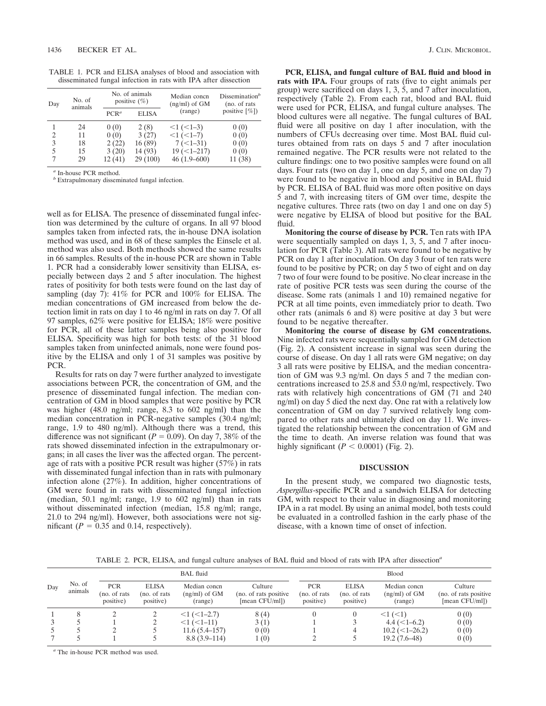TABLE 1. PCR and ELISA analyses of blood and association with disseminated fungal infection in rats with IPA after dissection

| Day | No. of<br>animals | No. of animals<br>positive $(\% )$ |              | Median concn<br>$(ng/ml)$ of $GM$ | Dissemination <sup>b</sup><br>(no. of rats) |  |
|-----|-------------------|------------------------------------|--------------|-----------------------------------|---------------------------------------------|--|
|     |                   | PCR <sup>a</sup>                   | <b>ELISA</b> | (range)                           | positive $[\%]$                             |  |
|     | 24                | 0(0)                               | 2(8)         | $<1$ ( $<1-3$ )                   | 0(0)                                        |  |
| 2   | 11                | 0(0)                               | 3(27)        | $<1$ ( $<1-7$ )                   | 0(0)                                        |  |
| 3   | 18                | 2(22)                              | 16(89)       | $7(-1-31)$                        | 0(0)                                        |  |
| 5   | 15                | 3(20)                              | 14 (93)      | $19 (-1 - 217)$                   | 0(0)                                        |  |
| 7   | 29                | 12(41)                             | 29(100)      | $46(1.9 - 600)$                   | 11 (38)                                     |  |

*<sup>a</sup>* In-house PCR method.

*<sup>b</sup>* Extrapulmonary disseminated fungal infection.

well as for ELISA. The presence of disseminated fungal infection was determined by the culture of organs. In all 97 blood samples taken from infected rats, the in-house DNA isolation method was used, and in 68 of these samples the Einsele et al. method was also used. Both methods showed the same results in 66 samples. Results of the in-house PCR are shown in Table 1. PCR had a considerably lower sensitivity than ELISA, especially between days 2 and 5 after inoculation. The highest rates of positivity for both tests were found on the last day of sampling (day 7): 41% for PCR and 100% for ELISA. The median concentrations of GM increased from below the detection limit in rats on day 1 to 46 ng/ml in rats on day 7. Of all 97 samples, 62% were positive for ELISA; 18% were positive for PCR, all of these latter samples being also positive for ELISA. Specificity was high for both tests: of the 31 blood samples taken from uninfected animals, none were found positive by the ELISA and only 1 of 31 samples was positive by PCR.

Results for rats on day 7 were further analyzed to investigate associations between PCR, the concentration of GM, and the presence of disseminated fungal infection. The median concentration of GM in blood samples that were positive by PCR was higher (48.0 ng/ml; range, 8.3 to 602 ng/ml) than the median concentration in PCR-negative samples (30.4 ng/ml; range, 1.9 to 480 ng/ml). Although there was a trend, this difference was not significant ( $P = 0.09$ ). On day 7, 38% of the rats showed disseminated infection in the extrapulmonary organs; in all cases the liver was the affected organ. The percentage of rats with a positive PCR result was higher (57%) in rats with disseminated fungal infection than in rats with pulmonary infection alone (27%). In addition, higher concentrations of GM were found in rats with disseminated fungal infection (median, 50.1 ng/ml; range, 1.9 to 602 ng/ml) than in rats without disseminated infection (median, 15.8 ng/ml; range, 21.0 to 294 ng/ml). However, both associations were not significant ( $P = 0.35$  and 0.14, respectively).

**PCR, ELISA, and fungal culture of BAL fluid and blood in rats with IPA.** Four groups of rats (five to eight animals per group) were sacrificed on days 1, 3, 5, and 7 after inoculation, respectively (Table 2). From each rat, blood and BAL fluid were used for PCR, ELISA, and fungal culture analyses. The blood cultures were all negative. The fungal cultures of BAL fluid were all positive on day 1 after inoculation, with the numbers of CFUs decreasing over time. Most BAL fluid cultures obtained from rats on days 5 and 7 after inoculation remained negative. The PCR results were not related to the culture findings: one to two positive samples were found on all days. Four rats (two on day 1, one on day 5, and one on day 7) were found to be negative in blood and positive in BAL fluid by PCR. ELISA of BAL fluid was more often positive on days 5 and 7, with increasing titers of GM over time, despite the negative cultures. Three rats (two on day 1 and one on day 5) were negative by ELISA of blood but positive for the BAL fluid.

**Monitoring the course of disease by PCR.** Ten rats with IPA were sequentially sampled on days 1, 3, 5, and 7 after inoculation for PCR (Table 3). All rats were found to be negative by PCR on day 1 after inoculation. On day 3 four of ten rats were found to be positive by PCR; on day 5 two of eight and on day 7 two of four were found to be positive. No clear increase in the rate of positive PCR tests was seen during the course of the disease. Some rats (animals 1 and 10) remained negative for PCR at all time points, even immediately prior to death. Two other rats (animals 6 and 8) were positive at day 3 but were found to be negative thereafter.

**Monitoring the course of disease by GM concentrations.** Nine infected rats were sequentially sampled for GM detection (Fig. 2). A consistent increase in signal was seen during the course of disease. On day 1 all rats were GM negative; on day 3 all rats were positive by ELISA, and the median concentration of GM was 9.3 ng/ml. On days 5 and 7 the median concentrations increased to 25.8 and 53.0 ng/ml, respectively. Two rats with relatively high concentrations of GM (71 and 240 ng/ml) on day 5 died the next day. One rat with a relatively low concentration of GM on day 7 survived relatively long compared to other rats and ultimately died on day 11. We investigated the relationship between the concentration of GM and the time to death. An inverse relation was found that was highly significant  $(P < 0.0001)$  (Fig. 2).

## **DISCUSSION**

In the present study, we compared two diagnostic tests, *Aspergillus*-specific PCR and a sandwich ELISA for detecting GM, with respect to their value in diagnosing and monitoring IPA in a rat model. By using an animal model, both tests could be evaluated in a controlled fashion in the early phase of the disease, with a known time of onset of infection.

TABLE 2. PCR, ELISA, and fungal culture analyses of BAL fluid and blood of rats with IPA after dissection*<sup>a</sup>*

|     |                   | BAL fluid                                |                                            |                                              |                                                     | Blood                                    |                                            |                                              |                                                     |
|-----|-------------------|------------------------------------------|--------------------------------------------|----------------------------------------------|-----------------------------------------------------|------------------------------------------|--------------------------------------------|----------------------------------------------|-----------------------------------------------------|
| Day | No. of<br>animals | <b>PCR</b><br>(no. of rats)<br>positive) | <b>ELISA</b><br>(no. of rats)<br>positive) | Median concn<br>$(ng/ml)$ of $GM$<br>(range) | Culture<br>(no. of rats positive)<br>[mean CFU/ml]) | <b>PCR</b><br>(no. of rats)<br>positive) | <b>ELISA</b><br>(no. of rats)<br>positive) | Median concn<br>$(ng/ml)$ of $GM$<br>(range) | Culture<br>(no. of rats positive)<br>[mean CFU/ml]) |
|     |                   |                                          |                                            | $<1$ ( $<1-2.7$ )                            | 8(4)                                                |                                          |                                            | 1 < 1                                        | 0(0)                                                |
|     |                   |                                          |                                            | $<1$ ( $<1-11$ )                             | 3(1)                                                |                                          |                                            | $4.4 \left( \leq 1 - 6.2 \right)$            | 0(0)                                                |
|     |                   |                                          |                                            | 11.6(5.4–157)                                | 0(0)                                                |                                          | 4                                          | $10.2 \left( \leq 1 - 26.2 \right)$          | 0(0)                                                |
|     |                   |                                          |                                            | $8.8(3.9-114)$                               | 1(0)                                                |                                          |                                            | $19.2(7.6-48)$                               | 0(0)                                                |

*<sup>a</sup>* The in-house PCR method was used.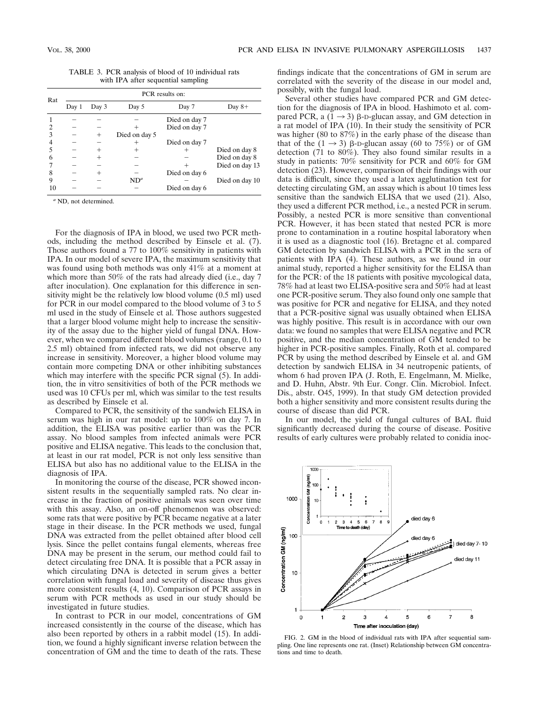TABLE 3. PCR analysis of blood of 10 individual rats with IPA after sequential sampling

| Rat | PCR results on: |       |               |               |                |  |  |
|-----|-----------------|-------|---------------|---------------|----------------|--|--|
|     | Day 1           | Day 3 | Day 5         | Day 7         | Day $8+$       |  |  |
|     |                 |       |               | Died on day 7 |                |  |  |
|     |                 |       |               | Died on day 7 |                |  |  |
| 3   |                 | $^+$  | Died on day 5 |               |                |  |  |
|     |                 |       |               | Died on day 7 |                |  |  |
|     |                 |       |               |               | Died on day 8  |  |  |
| 6   |                 |       |               |               | Died on day 8  |  |  |
|     |                 |       |               |               | Died on day 13 |  |  |
| 8   |                 |       |               | Died on day 6 |                |  |  |
| 9   |                 |       | $ND^a$        |               | Died on day 10 |  |  |
| 10  |                 |       |               | Died on day 6 |                |  |  |

*<sup>a</sup>* ND, not determined.

For the diagnosis of IPA in blood, we used two PCR methods, including the method described by Einsele et al. (7). Those authors found a 77 to 100% sensitivity in patients with IPA. In our model of severe IPA, the maximum sensitivity that was found using both methods was only 41% at a moment at which more than 50% of the rats had already died (i.e., day 7 after inoculation). One explanation for this difference in sensitivity might be the relatively low blood volume (0.5 ml) used for PCR in our model compared to the blood volume of 3 to 5 ml used in the study of Einsele et al. Those authors suggested that a larger blood volume might help to increase the sensitivity of the assay due to the higher yield of fungal DNA. However, when we compared different blood volumes (range, 0.1 to 2.5 ml) obtained from infected rats, we did not observe any increase in sensitivity. Moreover, a higher blood volume may contain more competing DNA or other inhibiting substances which may interfere with the specific PCR signal (5). In addition, the in vitro sensitivities of both of the PCR methods we used was 10 CFUs per ml, which was similar to the test results as described by Einsele et al.

Compared to PCR, the sensitivity of the sandwich ELISA in serum was high in our rat model: up to 100% on day 7. In addition, the ELISA was positive earlier than was the PCR assay. No blood samples from infected animals were PCR positive and ELISA negative. This leads to the conclusion that, at least in our rat model, PCR is not only less sensitive than ELISA but also has no additional value to the ELISA in the diagnosis of IPA.

In monitoring the course of the disease, PCR showed inconsistent results in the sequentially sampled rats. No clear increase in the fraction of positive animals was seen over time with this assay. Also, an on-off phenomenon was observed: some rats that were positive by PCR became negative at a later stage in their disease. In the PCR methods we used, fungal DNA was extracted from the pellet obtained after blood cell lysis. Since the pellet contains fungal elements, whereas free DNA may be present in the serum, our method could fail to detect circulating free DNA. It is possible that a PCR assay in which circulating DNA is detected in serum gives a better correlation with fungal load and severity of disease thus gives more consistent results (4, 10). Comparison of PCR assays in serum with PCR methods as used in our study should be investigated in future studies.

In contrast to PCR in our model, concentrations of GM increased consistently in the course of the disease, which has also been reported by others in a rabbit model (15). In addition, we found a highly significant inverse relation between the concentration of GM and the time to death of the rats. These

findings indicate that the concentrations of GM in serum are correlated with the severity of the disease in our model and, possibly, with the fungal load.

Several other studies have compared PCR and GM detection for the diagnosis of IPA in blood. Hashimoto et al. compared PCR, a  $(1 \rightarrow 3)$   $\beta$ -D-glucan assay, and GM detection in a rat model of  $IPA(10)$ . In their study the sensitivity of PCR was higher (80 to 87%) in the early phase of the disease than that of the  $(1 \rightarrow 3)$   $\beta$ -D-glucan assay (60 to 75%) or of GM detection (71 to 80%). They also found similar results in a study in patients: 70% sensitivity for PCR and 60% for GM detection (23). However, comparison of their findings with our data is difficult, since they used a latex agglutination test for detecting circulating GM, an assay which is about 10 times less sensitive than the sandwich ELISA that we used (21). Also, they used a different PCR method, i.e., a nested PCR in serum. Possibly, a nested PCR is more sensitive than conventional PCR. However, it has been stated that nested PCR is more prone to contamination in a routine hospital laboratory when it is used as a diagnostic tool (16). Bretagne et al. compared GM detection by sandwich ELISA with a PCR in the sera of patients with IPA (4). These authors, as we found in our animal study, reported a higher sensitivity for the ELISA than for the PCR: of the 18 patients with positive mycological data, 78% had at least two ELISA-positive sera and 50% had at least one PCR-positive serum. They also found only one sample that was positive for PCR and negative for ELISA, and they noted that a PCR-positive signal was usually obtained when ELISA was highly positive. This result is in accordance with our own data: we found no samples that were ELISA negative and PCR positive, and the median concentration of GM tended to be higher in PCR-positive samples. Finally, Roth et al. compared PCR by using the method described by Einsele et al. and GM detection by sandwich ELISA in 34 neutropenic patients, of whom 6 had proven IPA (J. Roth, E. Engelmann, M. Mielke, and D. Huhn, Abstr. 9th Eur. Congr. Clin. Microbiol. Infect. Dis., abstr. O45, 1999). In that study GM detection provided both a higher sensitivity and more consistent results during the course of disease than did PCR.

In our model, the yield of fungal cultures of BAL fluid significantly decreased during the course of disease. Positive results of early cultures were probably related to conidia inoc-



FIG. 2. GM in the blood of individual rats with IPA after sequential sampling. One line represents one rat. (Inset) Relationship between GM concentrations and time to death.